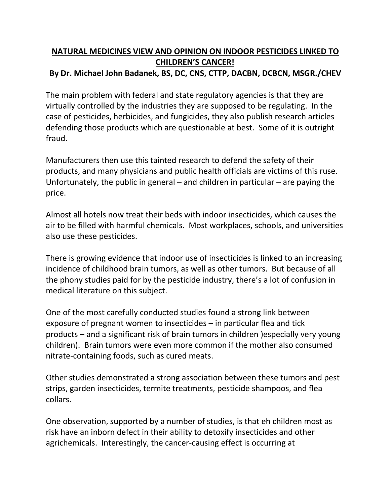## **NATURAL MEDICINES VIEW AND OPINION ON INDOOR PESTICIDES LINKED TO CHILDREN'S CANCER! By Dr. Michael John Badanek, BS, DC, CNS, CTTP, DACBN, DCBCN, MSGR./CHEV**

The main problem with federal and state regulatory agencies is that they are virtually controlled by the industries they are supposed to be regulating. In the case of pesticides, herbicides, and fungicides, they also publish research articles defending those products which are questionable at best. Some of it is outright fraud.

Manufacturers then use this tainted research to defend the safety of their products, and many physicians and public health officials are victims of this ruse. Unfortunately, the public in general – and children in particular – are paying the price.

Almost all hotels now treat their beds with indoor insecticides, which causes the air to be filled with harmful chemicals. Most workplaces, schools, and universities also use these pesticides.

There is growing evidence that indoor use of insecticides is linked to an increasing incidence of childhood brain tumors, as well as other tumors. But because of all the phony studies paid for by the pesticide industry, there's a lot of confusion in medical literature on this subject.

One of the most carefully conducted studies found a strong link between exposure of pregnant women to insecticides – in particular flea and tick products – and a significant risk of brain tumors in children )especially very young children). Brain tumors were even more common if the mother also consumed nitrate-containing foods, such as cured meats.

Other studies demonstrated a strong association between these tumors and pest strips, garden insecticides, termite treatments, pesticide shampoos, and flea collars.

One observation, supported by a number of studies, is that eh children most as risk have an inborn defect in their ability to detoxify insecticides and other agrichemicals. Interestingly, the cancer-causing effect is occurring at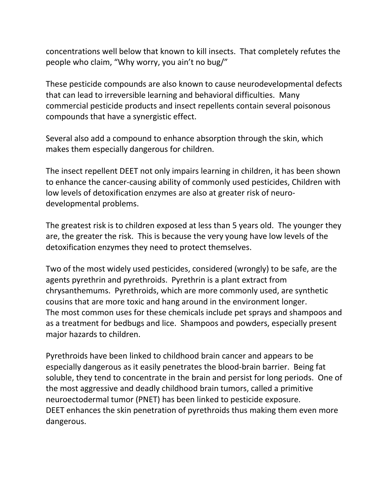concentrations well below that known to kill insects. That completely refutes the people who claim, "Why worry, you ain't no bug/"

These pesticide compounds are also known to cause neurodevelopmental defects that can lead to irreversible learning and behavioral difficulties. Many commercial pesticide products and insect repellents contain several poisonous compounds that have a synergistic effect.

Several also add a compound to enhance absorption through the skin, which makes them especially dangerous for children.

The insect repellent DEET not only impairs learning in children, it has been shown to enhance the cancer-causing ability of commonly used pesticides, Children with low levels of detoxification enzymes are also at greater risk of neuro developmental problems.

The greatest risk is to children exposed at less than 5 years old. The younger they are, the greater the risk. This is because the very young have low levels of the detoxification enzymes they need to protect themselves.

Two of the most widely used pesticides, considered (wrongly) to be safe, are the agents pyrethrin and pyrethroids. Pyrethrin is a plant extract from chrysanthemums. Pyrethroids, which are more commonly used, are synthetic cousins that are more toxic and hang around in the environment longer. The most common uses for these chemicals include pet sprays and shampoos and as a treatment for bedbugs and lice. Shampoos and powders, especially present major hazards to children.

Pyrethroids have been linked to childhood brain cancer and appears to be especially dangerous as it easily penetrates the blood-brain barrier. Being fat soluble, they tend to concentrate in the brain and persist for long periods. One of the most aggressive and deadly childhood brain tumors, called a primitive neuroectodermal tumor (PNET) has been linked to pesticide exposure. DEET enhances the skin penetration of pyrethroids thus making them even more dangerous.